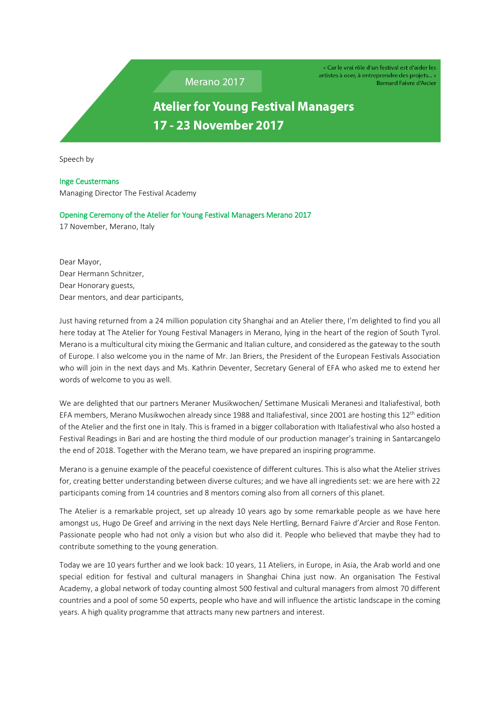Merano 2017

« Car le vrai rôle d'un festival est d'aider les artistes à oser, à entreprendre des projets... » Bernard Faivre d'Arcier

**Atelier for Young Festival Managers 17 - 23 November 2017** 

Speech by

Inge Ceustermans Managing Director The Festival Academy

Opening Ceremony of the Atelier for Young Festival Managers Merano 2017

17 November, Merano, Italy

Dear Mayor, Dear Hermann Schnitzer, Dear Honorary guests, Dear mentors, and dear participants,

Just having returned from a 24 million population city Shanghai and an Atelier there, I'm delighted to find you all here today at The Atelier for Young Festival Managers in Merano, lying in the heart of the region of South Tyrol. Merano is a multicultural city mixing the Germanic and Italian culture, and considered as the gateway to the south of Europe. I also welcome you in the name of Mr. Jan Briers, the President of the European Festivals Association who will join in the next days and Ms. Kathrin Deventer, Secretary General of EFA who asked me to extend her words of welcome to you as well.

We are delighted that our partners Meraner Musikwochen/ Settimane Musicali Meranesi and Italiafestival, both EFA members, Merano Musikwochen already since 1988 and Italiafestival, since 2001 are hosting this  $12<sup>th</sup>$  edition of the Atelier and the first one in Italy. This is framed in a bigger collaboration with Italiafestival who also hosted a Festival Readings in Bari and are hosting the third module of our production manager's training in Santarcangelo the end of 2018. Together with the Merano team, we have prepared an inspiring programme.

Merano is a genuine example of the peaceful coexistence of different cultures. This is also what the Atelier strives for, creating better understanding between diverse cultures; and we have all ingredients set: we are here with 22 participants coming from 14 countries and 8 mentors coming also from all corners of this planet.

The Atelier is a remarkable project, set up already 10 years ago by some remarkable people as we have here amongst us, Hugo De Greef and arriving in the next days Nele Hertling, Bernard Faivre d'Arcier and Rose Fenton. Passionate people who had not only a vision but who also did it. People who believed that maybe they had to contribute something to the young generation.

Today we are 10 years further and we look back: 10 years, 11 Ateliers, in Europe, in Asia, the Arab world and one special edition for festival and cultural managers in Shanghai China just now. An organisation The Festival Academy, a global network of today counting almost 500 festival and cultural managers from almost 70 different countries and a pool of some 50 experts, people who have and will influence the artistic landscape in the coming years. A high quality programme that attracts many new partners and interest.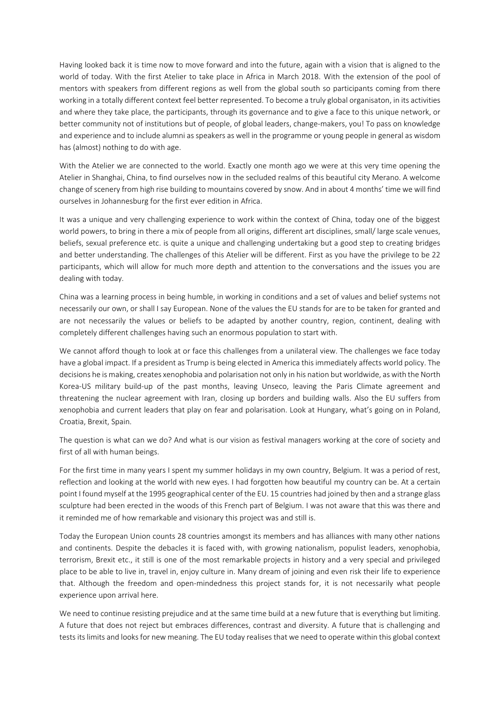Having looked back it is time now to move forward and into the future, again with a vision that is aligned to the world of today. With the first Atelier to take place in Africa in March 2018. With the extension of the pool of mentors with speakers from different regions as well from the global south so participants coming from there working in a totally different context feel better represented. To become a truly global organisaton, in its activities and where they take place, the participants, through its governance and to give a face to this unique network, or better community not of institutions but of people, of global leaders, change-makers, you! To pass on knowledge and experience and to include alumni as speakers as well in the programme or young people in general as wisdom has (almost) nothing to do with age.

With the Atelier we are connected to the world. Exactly one month ago we were at this very time opening the Atelier in Shanghai, China, to find ourselves now in the secluded realms of this beautiful city Merano. A welcome change of scenery from high rise building to mountains covered by snow. And in about 4 months' time we will find ourselves in Johannesburg for the first ever edition in Africa.

It was a unique and very challenging experience to work within the context of China, today one of the biggest world powers, to bring in there a mix of people from all origins, different art disciplines, small/ large scale venues, beliefs, sexual preference etc. is quite a unique and challenging undertaking but a good step to creating bridges and better understanding. The challenges of this Atelier will be different. First as you have the privilege to be 22 participants, which will allow for much more depth and attention to the conversations and the issues you are dealing with today.

China was a learning process in being humble, in working in conditions and a set of values and belief systems not necessarily our own, or shall I say European. None of the values the EU stands for are to be taken for granted and are not necessarily the values or beliefs to be adapted by another country, region, continent, dealing with completely different challenges having such an enormous population to start with.

We cannot afford though to look at or face this challenges from a unilateral view. The challenges we face today have a global impact. If a president as Trump is being elected in America this immediately affects world policy. The decisions he is making, creates xenophobia and polarisation not only in his nation but worldwide, as with the North Korea-US military build-up of the past months, leaving Unseco, leaving the Paris Climate agreement and threatening the nuclear agreement with Iran, closing up borders and building walls. Also the EU suffers from xenophobia and current leaders that play on fear and polarisation. Look at Hungary, what's going on in Poland, Croatia, Brexit, Spain.

The question is what can we do? And what is our vision as festival managers working at the core of society and first of all with human beings.

For the first time in many years I spent my summer holidays in my own country, Belgium. It was a period of rest, reflection and looking at the world with new eyes. I had forgotten how beautiful my country can be. At a certain point I found myself at the 1995 geographical center of the EU. 15 countries had joined by then and a strange glass sculpture had been erected in the woods of this French part of Belgium. I was not aware that this was there and it reminded me of how remarkable and visionary this project was and still is.

Today the European Union counts 28 countries amongst its members and has alliances with many other nations and continents. Despite the debacles it is faced with, with growing nationalism, populist leaders, xenophobia, terrorism, Brexit etc., it still is one of the most remarkable projects in history and a very special and privileged place to be able to live in, travel in, enjoy culture in. Many dream of joining and even risk their life to experience that. Although the freedom and open-mindedness this project stands for, it is not necessarily what people experience upon arrival here.

We need to continue resisting prejudice and at the same time build at a new future that is everything but limiting. A future that does not reject but embraces differences, contrast and diversity. A future that is challenging and tests its limits and looks for new meaning. The EU today realises that we need to operate within this global context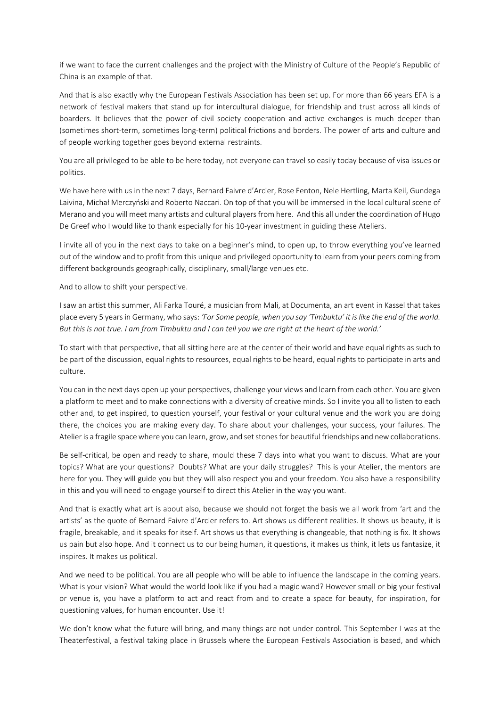if we want to face the current challenges and the project with the Ministry of Culture of the People's Republic of China is an example of that.

And that is also exactly why the European Festivals Association has been set up. For more than 66 years EFA is a network of festival makers that stand up for intercultural dialogue, for friendship and trust across all kinds of boarders. It believes that the power of civil society cooperation and active exchanges is much deeper than (sometimes short-term, sometimes long-term) political frictions and borders. The power of arts and culture and of people working together goes beyond external restraints.

You are all privileged to be able to be here today, not everyone can travel so easily today because of visa issues or politics.

We have here with us in the next 7 days, Bernard Faivre d'Arcier, Rose Fenton, Nele Hertling, Marta Keil, Gundega Laivina, Michał Merczyński and Roberto Naccari. On top of that you will be immersed in the local cultural scene of Merano and you will meet many artists and cultural players from here. And this all under the coordination of Hugo De Greef who I would like to thank especially for his 10-year investment in guiding these Ateliers.

I invite all of you in the next days to take on a beginner's mind, to open up, to throw everything you've learned out of the window and to profit from this unique and privileged opportunity to learn from your peers coming from different backgrounds geographically, disciplinary, small/large venues etc.

And to allow to shift your perspective.

I saw an artist this summer, Ali Farka Touré, a musician from Mali, at Documenta, an art event in Kassel that takes place every 5 years in Germany, who says: *'For Some people, when you say 'Timbuktu' it is like the end of the world. But this is not true. I am from Timbuktu and I can tell you we are right at the heart of the world.'*

To start with that perspective, that all sitting here are at the center of their world and have equal rights as such to be part of the discussion, equal rights to resources, equal rights to be heard, equal rights to participate in arts and culture.

You can in the next days open up your perspectives, challenge your views and learn from each other. You are given a platform to meet and to make connections with a diversity of creative minds. So I invite you all to listen to each other and, to get inspired, to question yourself, your festival or your cultural venue and the work you are doing there, the choices you are making every day. To share about your challenges, your success, your failures. The Atelier is a fragile space where you can learn, grow, and set stones for beautiful friendships and new collaborations.

Be self-critical, be open and ready to share, mould these 7 days into what you want to discuss. What are your topics? What are your questions? Doubts? What are your daily struggles? This is your Atelier, the mentors are here for you. They will guide you but they will also respect you and your freedom. You also have a responsibility in this and you will need to engage yourself to direct this Atelier in the way you want.

And that is exactly what art is about also, because we should not forget the basis we all work from 'art and the artists' as the quote of Bernard Faivre d'Arcier refers to. Art shows us different realities. It shows us beauty, it is fragile, breakable, and it speaks for itself. Art shows us that everything is changeable, that nothing is fix. It shows us pain but also hope. And it connect us to our being human, it questions, it makes us think, it lets us fantasize, it inspires. It makes us political.

And we need to be political. You are all people who will be able to influence the landscape in the coming years. What is your vision? What would the world look like if you had a magic wand? However small or big your festival or venue is, you have a platform to act and react from and to create a space for beauty, for inspiration, for questioning values, for human encounter. Use it!

We don't know what the future will bring, and many things are not under control. This September I was at the Theaterfestival, a festival taking place in Brussels where the European Festivals Association is based, and which